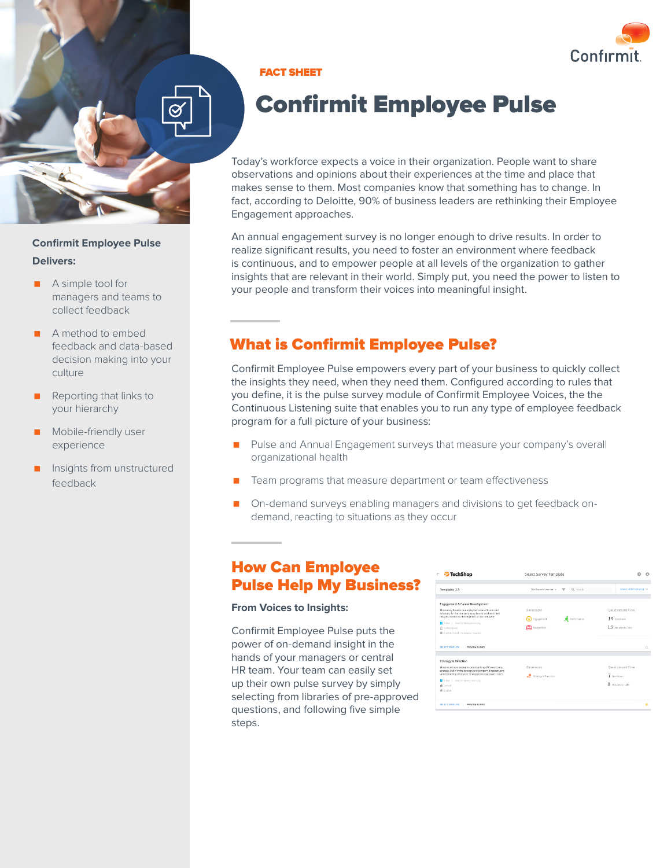

**Confirmit Employee Pulse Delivers:** 

- A simple tool for managers and teams to collect feedback
- A method to embed feedback and data-based decision making into your culture
- Reporting that links to your hierarchy
- Mobile-friendly user experience
- Insights from unstructured feedback

#### FACT SHEET

# Confirmit Employee Pulse

Today's workforce expects a voice in their organization. People want to share observations and opinions about their experiences at the time and place that makes sense to them. Most companies know that something has to change. In fact, according to Deloitte, 90% of business leaders are rethinking their Employee Engagement approaches.

An annual engagement survey is no longer enough to drive results. In order to realize significant results, you need to foster an environment where feedback is continuous, and to empower people at all levels of the organization to gather insights that are relevant in their world. Simply put, you need the power to listen to your people and transform their voices into meaningful insight.

# What is Confirmit Employee Pulse?

Confirmit Employee Pulse empowers every part of your business to quickly collect the insights they need, when they need them. Configured according to rules that you define, it is the pulse survey module of Confirmit Employee Voices, the the Continuous Listening suite that enables you to run any type of employee feedback program for a full picture of your business:

- **Pulse and Annual Engagement surveys that measure your company's overall** organizational health
- Team programs that measure department or team effectiveness
- **On-demand surveys enabling managers and divisions to get feedback on**demand, reacting to situations as they occur

# How Can Employee Pulse Help My Business?

#### **From Voices to Insights:**

Confirmit Employee Pulse puts the power of on-demand insight in the hands of your managers or central HR team. Your team can easily set up their own pulse survey by simply selecting from libraries of pre-approved questions, and following five simple steps.

| Q. search<br>Sorthymost popular v<br>τ | START FROM SCRATCH V                              |
|----------------------------------------|---------------------------------------------------|
|                                        |                                                   |
| Dimensions                             | Questions and Time                                |
|                                        | 14 Ourstons                                       |
|                                        |                                                   |
| Recognition                            | 13 Minutes to Take                                |
|                                        |                                                   |
|                                        | ÷                                                 |
|                                        |                                                   |
| <b>Dimensions</b>                      | Questions and Time                                |
|                                        | 7 Overticas                                       |
|                                        |                                                   |
|                                        | $\mathbf{R}$<br>Ningtes to Take                   |
|                                        |                                                   |
|                                        | Engagement<br>Performance<br>Strategy & Direction |

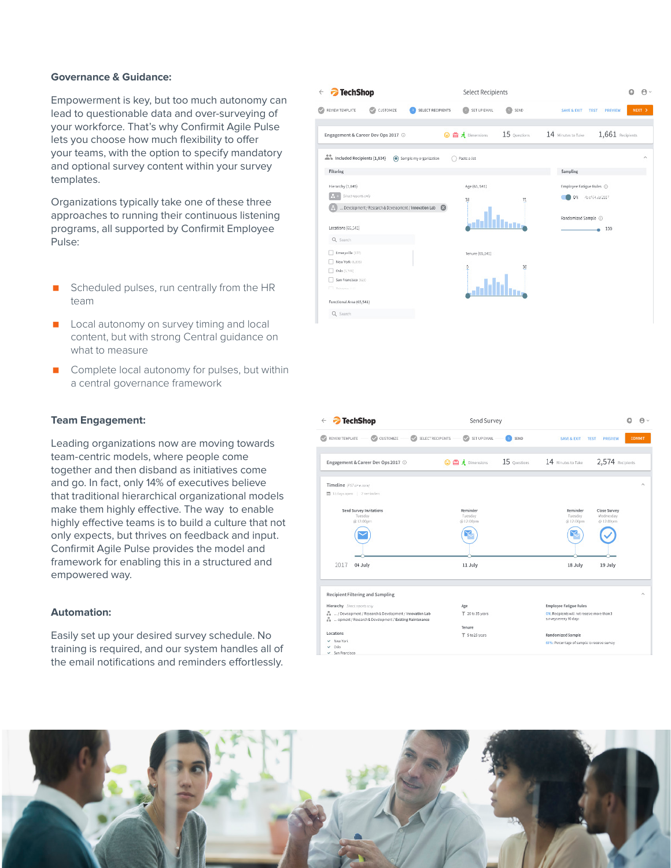#### **Governance & Guidance:**

Empowerment is key, but too much autonomy can lead to questionable data and over-surveying of your workforce. That's why Confirmit Agile Pulse lets you choose how much flexibility to offer your teams, with the option to specify mandatory and optional survey content within your survey templates.

Organizations typically take one of these three approaches to running their continuous listening programs, all supported by Confirmit Employee Pulse:

- Scheduled pulses, run centrally from the HR team
- **Local autonomy on survey timing and local** content, but with strong Central guidance on what to measure
- Complete local autonomy for pulses, but within a central governance framework

#### **Team Engagement:**

Leading organizations now are moving towards team-centric models, where people come together and then disband as initiatives come and go. In fact, only 14% of executives believe that traditional hierarchical organizational models make them highly effective. The way to enable highly effective teams is to build a culture that not only expects, but thrives on feedback and input. Confirmit Agile Pulse provides the model and framework for enabling this in a structured and empowered way.

#### **Automation:**

Easily set up your desired survey schedule. No training is required, and our system handles all of the email notifications and reminders effortlessly.



| <b>TechShop</b>                                                                                                   | Send Survey             |                                                                      | $\rho \cdot$        |
|-------------------------------------------------------------------------------------------------------------------|-------------------------|----------------------------------------------------------------------|---------------------|
| <b>REVIEW TEMPLATE</b><br>CA CUSTOMIZE<br>$\circ$<br>SELECT RECIPIENTS                                            | <b>CO</b> SET UP ENAIL  | SEND<br>SAVE & EXIT TEST<br>PREVIEW                                  | <b>COMMIT</b>       |
| Engagement & Career Dev Ops 2017 ©                                                                                | <b>◎ 酉 丸</b> Dimensions | 2,574 Recipients<br>15 Questions<br>14 Minutes to Take               |                     |
| Timeline pst time away                                                                                            |                         |                                                                      | $\hat{\phantom{a}}$ |
| 图 13 days open   2 neminders                                                                                      |                         |                                                                      |                     |
| Send Survey Invitations                                                                                           | Reminder                | Close Survey<br>Reminder                                             |                     |
| Tuesday<br>@ 12:00pm                                                                                              | Tuesday<br>@ 12:00pm    | Tuesday<br>Wednesday<br>@ 12:00pm<br>@ 12:00pm                       |                     |
|                                                                                                                   |                         |                                                                      |                     |
| 2017<br>04 July                                                                                                   | 11 July                 | 18 July<br>19 July                                                   |                     |
| Recipient Filtering and Sampling                                                                                  |                         |                                                                      | ۸                   |
| Hierarchy Shect reports pay                                                                                       | Age                     | <b>Employee Fatigue Rules</b>                                        |                     |
| / Development / Research & Development / Innovation Lab<br>opment / Research & Development / Existing Maintenance | T 20 to 35 years        | ON: Recipients will not receive more than 3<br>surveys every 90 days |                     |
|                                                                                                                   | Tenure                  |                                                                      |                     |
| Locations                                                                                                         | T 5 to 25 years         | Randomized Sample                                                    |                     |
| w New York                                                                                                        |                         | 60%: Percentage of sample to receive survey                          |                     |
| $-$ Oslo                                                                                                          |                         |                                                                      |                     |
| v San Francisco                                                                                                   |                         |                                                                      |                     |